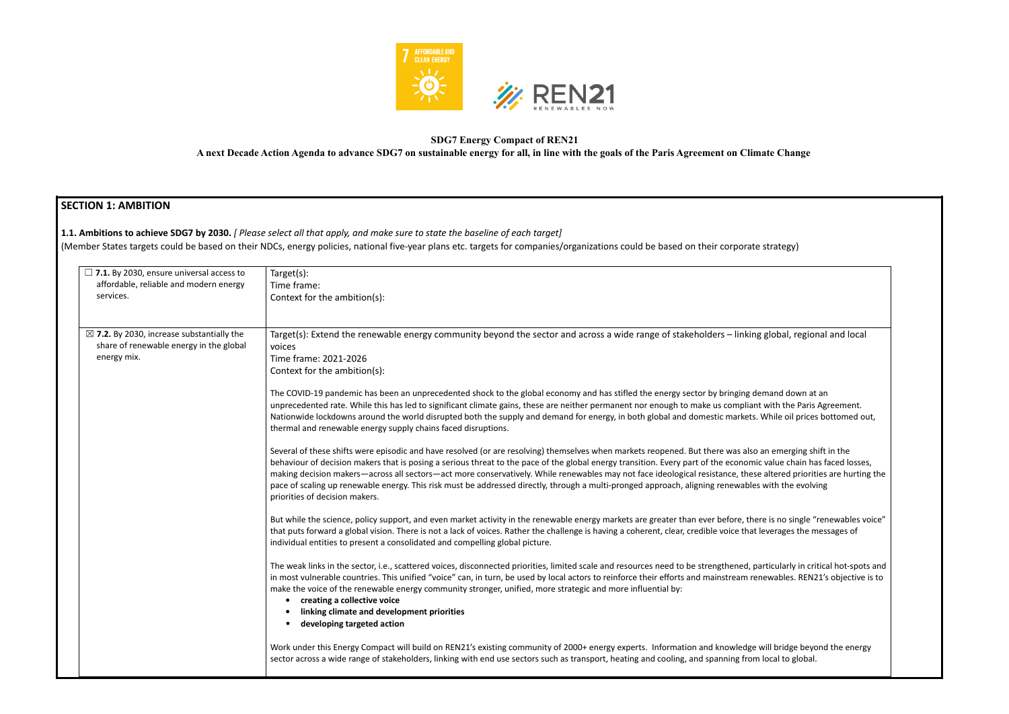

### **SDG7 Energy Compact of REN21 A next Decade Action Agenda to advance SDG7 on sustainable energy for all, in line with the goals of the Paris Agreement on Climate Change**

# **SECTION 1: AMBITION 1.1. Ambitions to achieve SDG7 by 2030.** *[ Please select all that apply, and make sure to state the baseline of each target]* (Member States targets could be based on their NDCs, energy policies, national five-year plans etc. targets for companies/organizations could be based on their corporate strategy) ☐ **7.1.** By 2030, ensure universal access to affordable, reliable and modern energy services. Target(s): Time frame: Context for the ambition(s): ☒ **7.2.** By 2030, increase substantially the share of renewable energy in the global energy mix. Target(s): Extend the renewable energy community beyond the sector and across a wide range of stakeholders – linking global, regional and local voices Time frame: 2021-2026 Context for the ambition(s): The COVID-19 pandemic has been an unprecedented shock to the global economy and has stifled the energy sector by bringing demand down at an unprecedented rate. While this has led to significant climate gains, these are neither permanent nor enough to make us compliant with the Paris Agreement. Nationwide lockdowns around the world disrupted both the supply and demand for energy, in both global and domestic markets. While oil prices bottomed out, thermal and renewable energy supply chains faced disruptions. Several of these shifts were episodic and have resolved (or are resolving) themselves when markets reopened. But there was also an emerging shift in the behaviour of decision makers that is posing a serious threat to the pace of the global energy transition. Every part of the economic value chain has faced losses, making decision makers—across all sectors—act more conservatively. While renewables may not face ideological resistance, these altered priorities are hurting the pace of scaling up renewable energy. This risk must be addressed directly, through a multi-pronged approach, aligning renewables with the evolving priorities of decision makers. But while the science, policy support, and even market activity in the renewable energy markets are greater than ever before, there is no single "renewables voice" that puts forward a global vision. There is not a lack of voices. Rather the challenge is having a coherent, clear, credible voice that leverages the messages of individual entities to present a consolidated and compelling global picture. The weak links in the sector, i.e., scattered voices, disconnected priorities, limited scale and resources need to be strengthened, particularly in critical hot-spots and in most vulnerable countries. This unified "voice" can, in turn, be used by local actors to reinforce their efforts and mainstream renewables. REN21's objective is to make the voice of the renewable energy community stronger, unified, more strategic and more influential by: **• creating a collective voice • linking climate and development priorities** • **developing targeted action** Work under this Energy Compact will build on REN21's existing community of 2000+ energy experts. Information and knowledge will bridge beyond the energy sector across a wide range of stakeholders, linking with end use sectors such as transport, heating and cooling, and spanning from local to global.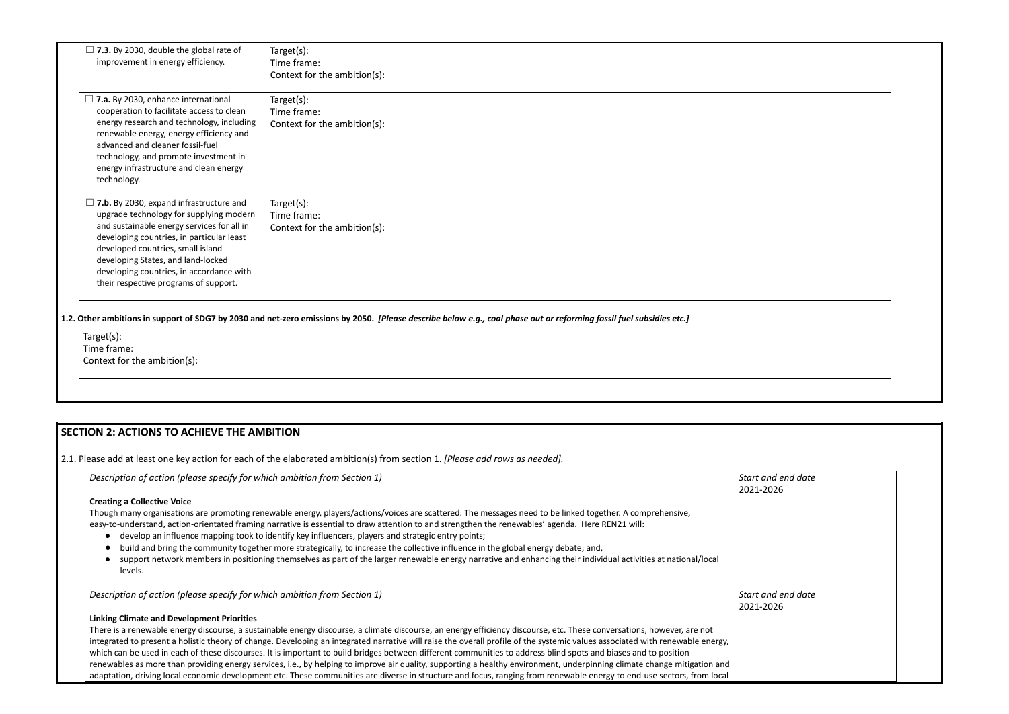| $\Box$ 7.3. By 2030, double the global rate of<br>improvement in energy efficiency.                                                                                                                                                                                                                                                                  | Target(s):<br>Time frame:<br>Context for the ambition(s):     |
|------------------------------------------------------------------------------------------------------------------------------------------------------------------------------------------------------------------------------------------------------------------------------------------------------------------------------------------------------|---------------------------------------------------------------|
| $\Box$ 7.a. By 2030, enhance international<br>cooperation to facilitate access to clean<br>energy research and technology, including<br>renewable energy, energy efficiency and<br>advanced and cleaner fossil-fuel<br>technology, and promote investment in<br>energy infrastructure and clean energy<br>technology.                                | Target(s):<br>Time frame:<br>Context for the ambition(s):     |
| $\Box$ 7.b. By 2030, expand infrastructure and<br>upgrade technology for supplying modern<br>and sustainable energy services for all in<br>developing countries, in particular least<br>developed countries, small island<br>developing States, and land-locked<br>developing countries, in accordance with<br>their respective programs of support. | Target $(s)$ :<br>Time frame:<br>Context for the ambition(s): |

1.2. Other ambitions in support of SDG7 by 2030 and net-zero emissions by 2050. [Please describe below e.g., coal phase out or reforming fossil fuel subsidies etc.]

Target(s): Time frame: Context for the ambition(s):

# **SECTION 2: ACTIONS TO ACHIEVE THE AMBITION**

2.1. Please add at least one key action for each of the elaborated ambition(s) from section 1. *[Please add rows as needed].*

| Description of action (please specify for which ambition from Section 1)                                                                                                                                                                                                                                                                                                                                                                                                                                                                                                            | Start and e<br>2021-2026 |
|-------------------------------------------------------------------------------------------------------------------------------------------------------------------------------------------------------------------------------------------------------------------------------------------------------------------------------------------------------------------------------------------------------------------------------------------------------------------------------------------------------------------------------------------------------------------------------------|--------------------------|
| <b>Creating a Collective Voice</b>                                                                                                                                                                                                                                                                                                                                                                                                                                                                                                                                                  |                          |
| Though many organisations are promoting renewable energy, players/actions/voices are scattered. The messages need to be linked together. A comprehensive,<br>easy-to-understand, action-orientated framing narrative is essential to draw attention to and strengthen the renewables' agenda. Here REN21 will:<br>develop an influence mapping took to identify key influencers, players and strategic entry points;<br>$\bullet$<br>build and bring the community together more strategically, to increase the collective influence in the global energy debate; and,<br>$\bullet$ |                          |
| support network members in positioning themselves as part of the larger renewable energy narrative and enhancing their individual activities at national/local<br>$\bullet$<br>levels.                                                                                                                                                                                                                                                                                                                                                                                              |                          |
| Description of action (please specify for which ambition from Section 1)                                                                                                                                                                                                                                                                                                                                                                                                                                                                                                            | Start and e<br>2021-2026 |
| <b>Linking Climate and Development Priorities</b>                                                                                                                                                                                                                                                                                                                                                                                                                                                                                                                                   |                          |
| There is a renewable energy discourse, a sustainable energy discourse, a climate discourse, an energy efficiency discourse, etc. These conversations, however, are not                                                                                                                                                                                                                                                                                                                                                                                                              |                          |
| integrated to present a holistic theory of change. Developing an integrated narrative will raise the overall profile of the systemic values associated with renewable energy,                                                                                                                                                                                                                                                                                                                                                                                                       |                          |
| which can be used in each of these discourses. It is important to build bridges between different communities to address blind spots and biases and to position                                                                                                                                                                                                                                                                                                                                                                                                                     |                          |
| renewables as more than providing energy services, i.e., by helping to improve air quality, supporting a healthy environment, underpinning climate change mitigation and                                                                                                                                                                                                                                                                                                                                                                                                            |                          |
| adaptation, driving local economic development etc. These communities are diverse in structure and focus, ranging from renewable energy to end-use sectors, from local                                                                                                                                                                                                                                                                                                                                                                                                              |                          |

| and end date<br>$-2026$ |  |
|-------------------------|--|
|                         |  |
|                         |  |
|                         |  |
|                         |  |
|                         |  |
| and end date            |  |
| $-2026$                 |  |
|                         |  |
|                         |  |
|                         |  |
|                         |  |
|                         |  |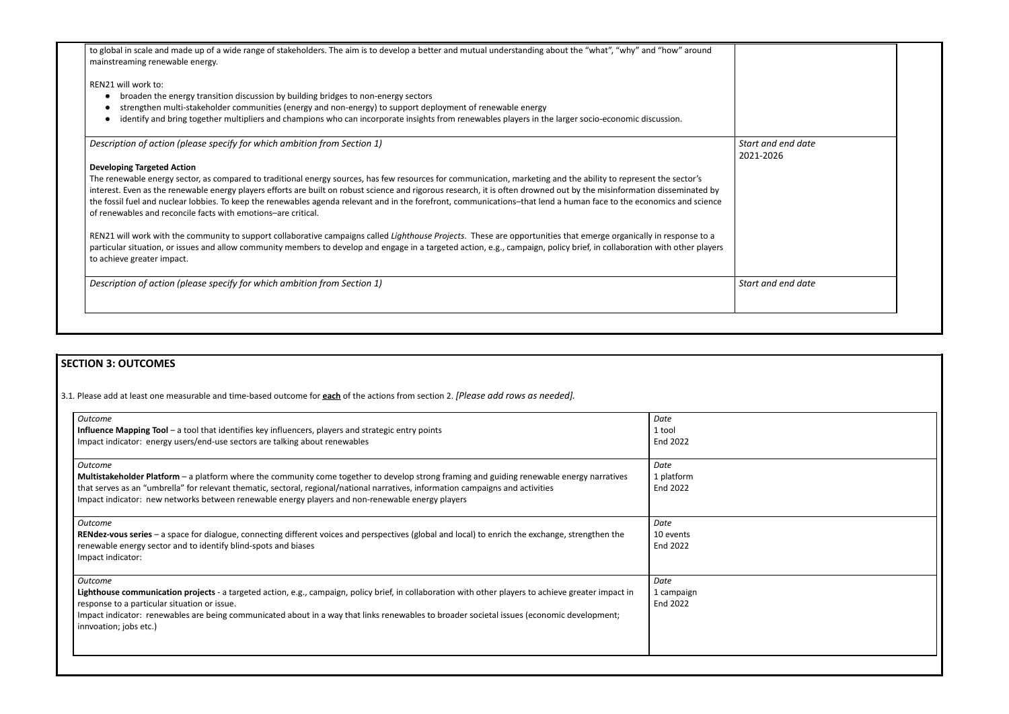| to global in scale and made up of a wide range of stakeholders. The aim is to develop a better and mutual understanding about the "what", "why" and "how" around<br>mainstreaming renewable energy. |                       |
|-----------------------------------------------------------------------------------------------------------------------------------------------------------------------------------------------------|-----------------------|
| REN21 will work to:                                                                                                                                                                                 |                       |
| broaden the energy transition discussion by building bridges to non-energy sectors                                                                                                                  |                       |
| strengthen multi-stakeholder communities (energy and non-energy) to support deployment of renewable energy                                                                                          |                       |
| identify and bring together multipliers and champions who can incorporate insights from renewables players in the larger socio-economic discussion.                                                 |                       |
| Description of action (please specify for which ambition from Section 1)                                                                                                                            | Start a<br>$2021 - 2$ |
| <b>Developing Targeted Action</b>                                                                                                                                                                   |                       |
| The renewable energy sector, as compared to traditional energy sources, has few resources for communication, marketing and the ability to represent the sector's                                    |                       |
| interest. Even as the renewable energy players efforts are built on robust science and rigorous research, it is often drowned out by the misinformation disseminated by                             |                       |
| the fossil fuel and nuclear lobbies. To keep the renewables agenda relevant and in the forefront, communications-that lend a human face to the economics and science                                |                       |
| of renewables and reconcile facts with emotions-are critical.                                                                                                                                       |                       |

# *Start and end date* 2026

REN21 will work with the community to support collaborative campaigns called *Lighthouse Projects*. These are opportunities that emerge organically in response to a particular situation, or issues and allow community members to develop and engage in a targeted action, e.g., campaign, policy brief, in collaboration with other players to achieve greater impact.

**Description of action (please specify for which ambition from Section 1) Start and end date** 

# **SECTION 3: OUTCOMES**

3.1*.* Please add at least one measurable and time-based outcome for **each** of the actions from section 2. *[Please add rows as needed].*

| <b>Outcome</b><br>Influence Mapping Tool - a tool that identifies key influencers, players and strategic entry points<br>Impact indicator: energy users/end-use sectors are talking about renewables                                                                                                                                                                                                 | Date<br>1 tool<br>End 2022     |
|------------------------------------------------------------------------------------------------------------------------------------------------------------------------------------------------------------------------------------------------------------------------------------------------------------------------------------------------------------------------------------------------------|--------------------------------|
| <b>Outcome</b><br>Multistakeholder Platform - a platform where the community come together to develop strong framing and guiding renewable energy narratives<br>that serves as an "umbrella" for relevant thematic, sectoral, regional/national narratives, information campaigns and activities<br>Impact indicator: new networks between renewable energy players and non-renewable energy players | Date<br>1 platform<br>End 2022 |
| <b>Outcome</b><br>RENdez-vous series - a space for dialogue, connecting different voices and perspectives (global and local) to enrich the exchange, strengthen the<br>renewable energy sector and to identify blind-spots and biases<br>Impact indicator:                                                                                                                                           | Date<br>10 events<br>End 2022  |
| <b>Outcome</b><br>Lighthouse communication projects - a targeted action, e.g., campaign, policy brief, in collaboration with other players to achieve greater impact in<br>response to a particular situation or issue.<br>Impact indicator: renewables are being communicated about in a way that links renewables to broader societal issues (economic development;<br>innvoation; jobs etc.)      | Date<br>1 campaign<br>End 2022 |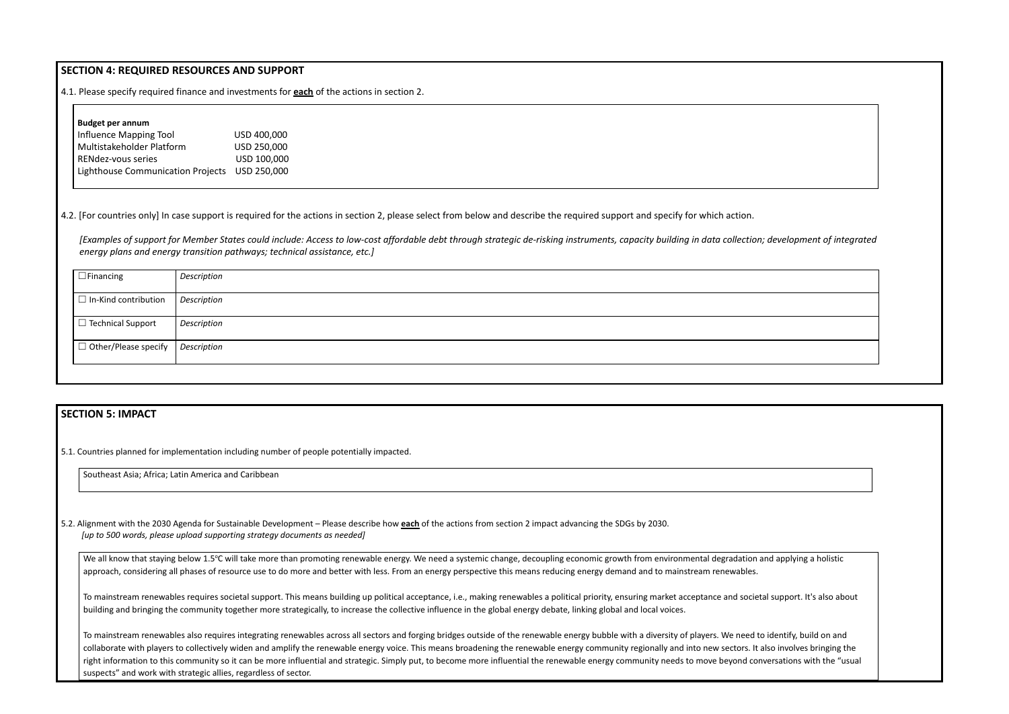## **SECTION 4: REQUIRED RESOURCES AND SUPPORT**

4.1. Please specify required finance and investments for **each** of the actions in section 2.

#### **Budget per annum**

| Influence Mapping Tool                        | USD 400,000 |
|-----------------------------------------------|-------------|
| Multistakeholder Platform                     | USD 250,000 |
| RENdez-vous series                            | USD 100,000 |
| Lighthouse Communication Projects USD 250,000 |             |

4.2. [For countries only] In case support is required for the actions in section 2, please select from below and describe the required support and specify for which action.

*[Examples of support for Member States could include: Access to low-cost affordable debt through strategic de-risking instruments, capacity building in data collection; development of integrated energy plans and energy transition pathways; technical assistance, etc.]*

| $\Box$ Financing            | Description        |
|-----------------------------|--------------------|
|                             |                    |
|                             |                    |
| $\Box$ In-Kind contribution | <b>Description</b> |
|                             |                    |
|                             |                    |
| $\Box$ Technical Support    | Description        |
|                             |                    |
|                             |                    |
| $\Box$ Other/Please specify | Description        |
|                             |                    |
|                             |                    |
|                             |                    |
|                             |                    |
|                             |                    |

## **SECTION 5: IMPACT**

5.1. Countries planned for implementation including number of people potentially impacted.

Southeast Asia; Africa; Latin America and Caribbean

5.2. Alignment with the 2030 Agenda for Sustainable Development – Please describe how **each** of the actions from section 2 impact advancing the SDGs by 2030. *[up to 500 words, please upload supporting strategy documents as needed]*

We all know that staying below 1.5°C will take more than promoting renewable energy. We need a systemic change, decoupling economic growth from environmental degradation and applying a holistic approach, considering all phases of resource use to do more and better with less. From an energy perspective this means reducing energy demand and to mainstream renewables.

To mainstream renewables also requires integrating renewables across all sectors and forging bridges outside of the renewable energy bubble with a diversity of players. We need to identify, build on and collaborate with players to collectively widen and amplify the renewable energy voice. This means broadening the renewable energy community regionally and into new sectors. It also involves bringing the right information to this community so it can be more influential and strategic. Simply put, to become more influential the renewable energy community needs to move beyond conversations with the "usual suspects" and work with strategic allies, regardless of sector.





To mainstream renewables requires societal support. This means building up political acceptance, i.e., making renewables a political priority, ensuring market acceptance and societal support. It's also about building and bringing the community together more strategically, to increase the collective influence in the global energy debate, linking global and local voices.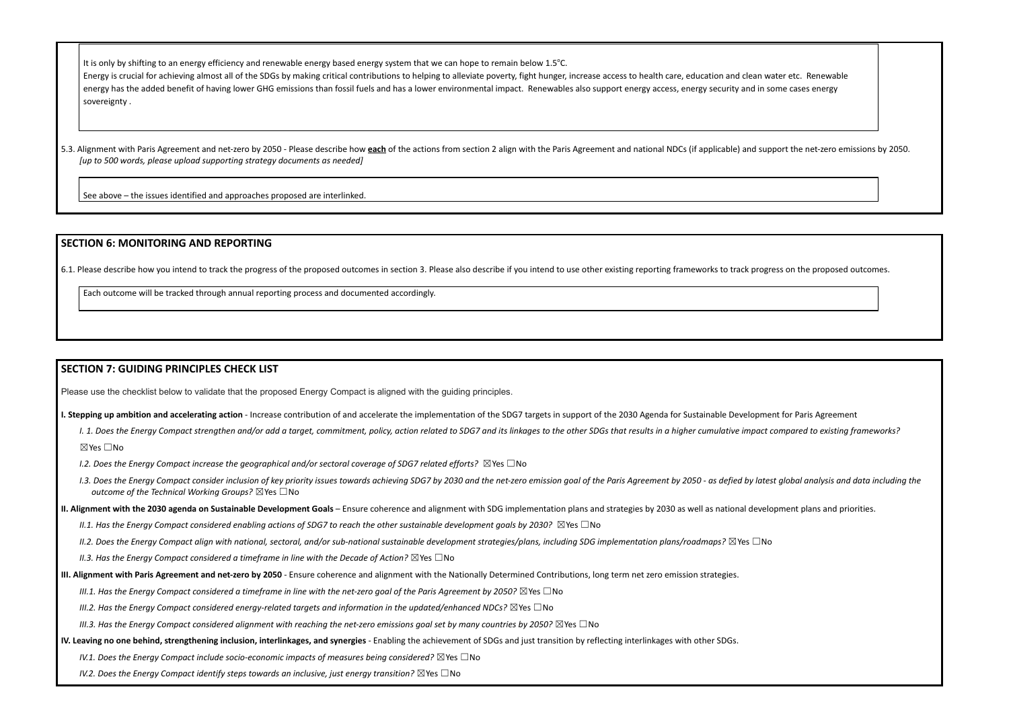It is only by shifting to an energy efficiency and renewable energy based energy system that we can hope to remain below 1.5°C. Energy is crucial for achieving almost all of the SDGs by making critical contributions to helping to alleviate poverty, fight hunger, increase access to health care, education and clean water etc. Renewable energy has the added benefit of having lower GHG emissions than fossil fuels and has a lower environmental impact. Renewables also support energy access, energy security and in some cases energy sovereignty .

5.3. Alignment with Paris Agreement and net-zero by 2050 - Please describe how each of the actions from section 2 align with the Paris Agreement and national NDCs (if applicable) and support the net-zero emissions by 2050. *[up to 500 words, please upload supporting strategy documents as needed]*

See above – the issues identified and approaches proposed are interlinked.

I. 1. Does the Energy Compact strengthen and/or add a target, commitment, policy, action related to SDG7 and its linkages to the other SDGs that results in a higher cumulative impact compared to existing frameworks? ☒Yes ☐No

## **SECTION 6: MONITORING AND REPORTING**

6.1. Please describe how you intend to track the progress of the proposed outcomes in section 3. Please also describe if you intend to use other existing reporting frameworks to track progress on the proposed outcomes.

1.3. Does the Eneray Compact consider inclusion of key priority issues towards achieving SDG7 by 2030 and the net-zero emission apal of the Paris Agreement by 2050 - as defied by latest alobal analysis and data including t *outcome of the Technical Working Groups?* ☒Yes ☐No

II. Alignment with the 2030 agenda on Sustainable Development Goals - Ensure coherence and alignment with SDG implementation plans and strategies by 2030 as well as national development plans and priorities.

II.1. Has the Enerav Compact considered enablina actions of SDG7 to reach the other sustainable development aoals by 2030?  $\boxtimes$  Yes  $\Box$  No

II.2. Does the Energy Compact align with national, sectoral, and/or sub-national sustainable development strategies/plans, including SDG implementation plans/roadmaps?  $\boxtimes$ Yes  $\Box$ No

Each outcome will be tracked through annual reporting process and documented accordingly.

## **SECTION 7: GUIDING PRINCIPLES CHECK LIST**

Please use the checklist below to validate that the proposed Energy Compact is aligned with the guiding principles.

I. Stepping up ambition and accelerating action - Increase contribution of and accelerate the implementation of the SDG7 targets in support of the 2030 Agenda for Sustainable Development for Paris Agreement

*I.2. Does the Energy Compact increase the geographical and/or sectoral coverage of SDG7 related efforts?* ☒Yes ☐No

*II.3. Has the Energy Compact considered a timeframe in line with the Decade of Action?* ☒Yes ☐No

III. Alignment with Paris Agreement and net-zero by 2050 - Ensure coherence and alignment with the Nationally Determined Contributions, long term net zero emission strategies.

III.1. Has the Energy Compact considered a timeframe in line with the net-zero goal of the Paris Agreement by 2050?  $\boxtimes$  Yes  $\Box$  No

*III.2. Has the Energy Compact considered energy-related targets and information in the updated/enhanced NDCs?* ☒Yes ☐No

III.3. Has the Energy Compact considered alignment with reaching the net-zero emissions goal set by many countries by 2050?  $\boxtimes$  Yes  $\Box$  No

IV. Leaving no one behind, strengthening inclusion, interlinkages, and synergies - Enabling the achievement of SDGs and just transition by reflecting interlinkages with other SDGs.

*IV.1. Does the Energy Compact include socio-economic impacts of measures being considered?* ☒Yes ☐No

*IV.2. Does the Energy Compact identify steps towards an inclusive, just energy transition?* ☒Yes ☐No